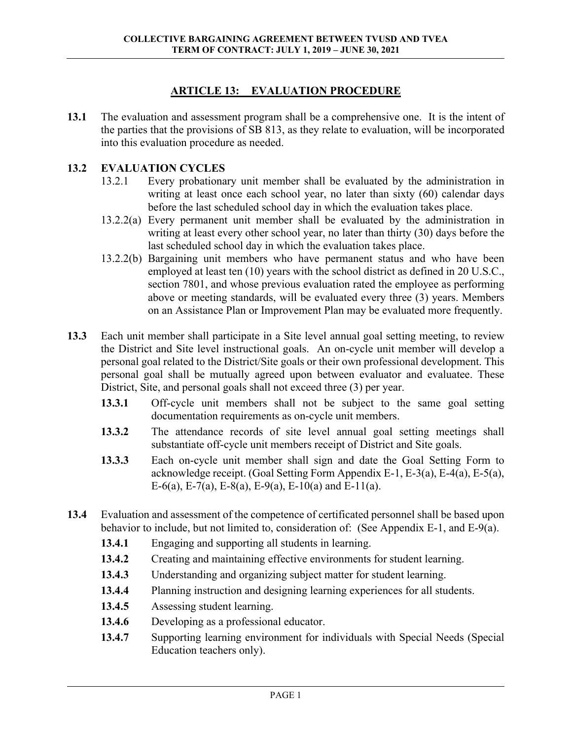## **ARTICLE 13: EVALUATION PROCEDURE**

**13.1** The evaluation and assessment program shall be a comprehensive one. It is the intent of the parties that the provisions of SB 813, as they relate to evaluation, will be incorporated into this evaluation procedure as needed.

## **13.2 EVALUATION CYCLES**

- 13.2.1 Every probationary unit member shall be evaluated by the administration in writing at least once each school year, no later than sixty (60) calendar days before the last scheduled school day in which the evaluation takes place.
- 13.2.2(a) Every permanent unit member shall be evaluated by the administration in writing at least every other school year, no later than thirty (30) days before the last scheduled school day in which the evaluation takes place.
- 13.2.2(b) Bargaining unit members who have permanent status and who have been employed at least ten (10) years with the school district as defined in 20 U.S.C., section 7801, and whose previous evaluation rated the employee as performing above or meeting standards, will be evaluated every three (3) years. Members on an Assistance Plan or Improvement Plan may be evaluated more frequently.
- **13.3** Each unit member shall participate in a Site level annual goal setting meeting, to review the District and Site level instructional goals. An on-cycle unit member will develop a personal goal related to the District/Site goals or their own professional development. This personal goal shall be mutually agreed upon between evaluator and evaluatee. These District, Site, and personal goals shall not exceed three (3) per year.
	- **13.3.1** Off-cycle unit members shall not be subject to the same goal setting documentation requirements as on-cycle unit members.
	- **13.3.2** The attendance records of site level annual goal setting meetings shall substantiate off-cycle unit members receipt of District and Site goals.
	- **13.3.3** Each on-cycle unit member shall sign and date the Goal Setting Form to acknowledge receipt. (Goal Setting Form Appendix E-1, E-3(a), E-4(a), E-5(a), E-6(a), E-7(a), E-8(a), E-9(a), E-10(a) and E-11(a).
- **13.4** Evaluation and assessment of the competence of certificated personnel shall be based upon behavior to include, but not limited to, consideration of: (See Appendix E-1, and E-9(a).
	- **13.4.1** Engaging and supporting all students in learning.
	- **13.4.2** Creating and maintaining effective environments for student learning.
	- **13.4.3** Understanding and organizing subject matter for student learning.
	- **13.4.4** Planning instruction and designing learning experiences for all students.
	- **13.4.5** Assessing student learning.
	- **13.4.6** Developing as a professional educator.
	- **13.4.7** Supporting learning environment for individuals with Special Needs (Special Education teachers only).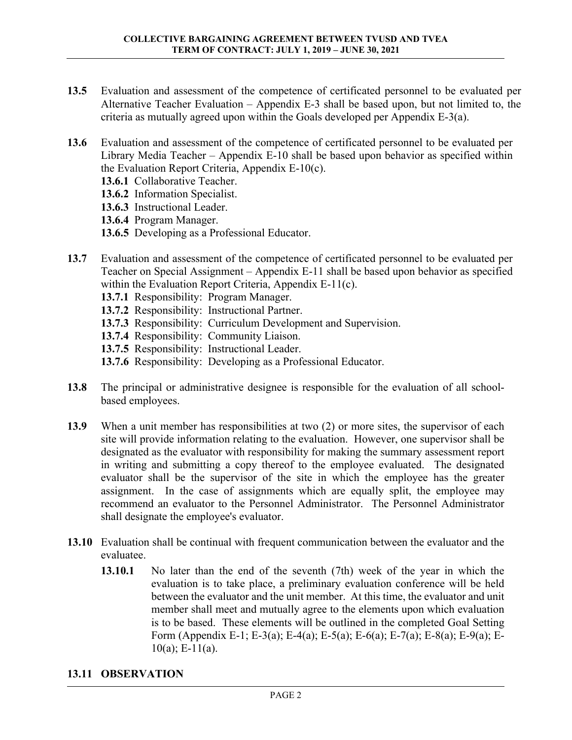- **13.5** Evaluation and assessment of the competence of certificated personnel to be evaluated per Alternative Teacher Evaluation – Appendix E-3 shall be based upon, but not limited to, the criteria as mutually agreed upon within the Goals developed per Appendix E-3(a).
- **13.6** Evaluation and assessment of the competence of certificated personnel to be evaluated per Library Media Teacher – Appendix E-10 shall be based upon behavior as specified within the Evaluation Report Criteria, Appendix E-10(c).
	- **13.6.1** Collaborative Teacher.
	- **13.6.2** Information Specialist.
	- **13.6.3** Instructional Leader.
	- **13.6.4** Program Manager.
	- **13.6.5** Developing as a Professional Educator.
- **13.7** Evaluation and assessment of the competence of certificated personnel to be evaluated per Teacher on Special Assignment – Appendix E-11 shall be based upon behavior as specified within the Evaluation Report Criteria, Appendix E-11(c).
	- **13.7.1** Responsibility: Program Manager.
	- **13.7.2** Responsibility: Instructional Partner.
	- **13.7.3** Responsibility: Curriculum Development and Supervision.
	- **13.7.4** Responsibility: Community Liaison.
	- **13.7.5** Responsibility: Instructional Leader.
	- **13.7.6** Responsibility: Developing as a Professional Educator.
- **13.8** The principal or administrative designee is responsible for the evaluation of all schoolbased employees.
- **13.9** When a unit member has responsibilities at two (2) or more sites, the supervisor of each site will provide information relating to the evaluation. However, one supervisor shall be designated as the evaluator with responsibility for making the summary assessment report in writing and submitting a copy thereof to the employee evaluated. The designated evaluator shall be the supervisor of the site in which the employee has the greater assignment. In the case of assignments which are equally split, the employee may recommend an evaluator to the Personnel Administrator. The Personnel Administrator shall designate the employee's evaluator.
- **13.10** Evaluation shall be continual with frequent communication between the evaluator and the evaluatee.
	- **13.10.1** No later than the end of the seventh (7th) week of the year in which the evaluation is to take place, a preliminary evaluation conference will be held between the evaluator and the unit member. At this time, the evaluator and unit member shall meet and mutually agree to the elements upon which evaluation is to be based. These elements will be outlined in the completed Goal Setting Form (Appendix E-1; E-3(a); E-4(a); E-5(a); E-6(a); E-7(a); E-8(a); E-9(a); E- $10(a)$ ; E-11(a).

## **13.11 OBSERVATION**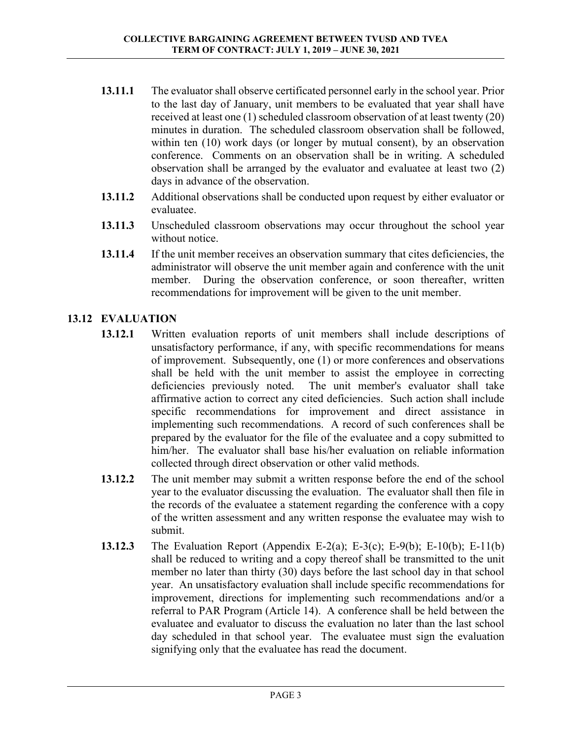- **13.11.1** The evaluator shall observe certificated personnel early in the school year. Prior to the last day of January, unit members to be evaluated that year shall have received at least one (1) scheduled classroom observation of at least twenty (20) minutes in duration. The scheduled classroom observation shall be followed, within ten (10) work days (or longer by mutual consent), by an observation conference. Comments on an observation shall be in writing. A scheduled observation shall be arranged by the evaluator and evaluatee at least two (2) days in advance of the observation.
- **13.11.2** Additional observations shall be conducted upon request by either evaluator or evaluatee.
- **13.11.3** Unscheduled classroom observations may occur throughout the school year without notice.
- **13.11.4** If the unit member receives an observation summary that cites deficiencies, the administrator will observe the unit member again and conference with the unit member. During the observation conference, or soon thereafter, written recommendations for improvement will be given to the unit member.

## **13.12 EVALUATION**

- **13.12.1** Written evaluation reports of unit members shall include descriptions of unsatisfactory performance, if any, with specific recommendations for means of improvement. Subsequently, one (1) or more conferences and observations shall be held with the unit member to assist the employee in correcting deficiencies previously noted. The unit member's evaluator shall take affirmative action to correct any cited deficiencies. Such action shall include specific recommendations for improvement and direct assistance in implementing such recommendations. A record of such conferences shall be prepared by the evaluator for the file of the evaluatee and a copy submitted to him/her. The evaluator shall base his/her evaluation on reliable information collected through direct observation or other valid methods.
- **13.12.2** The unit member may submit a written response before the end of the school year to the evaluator discussing the evaluation. The evaluator shall then file in the records of the evaluatee a statement regarding the conference with a copy of the written assessment and any written response the evaluatee may wish to submit.
- **13.12.3** The Evaluation Report (Appendix E-2(a); E-3(c); E-9(b); E-10(b); E-11(b) shall be reduced to writing and a copy thereof shall be transmitted to the unit member no later than thirty (30) days before the last school day in that school year. An unsatisfactory evaluation shall include specific recommendations for improvement, directions for implementing such recommendations and/or a referral to PAR Program (Article 14). A conference shall be held between the evaluatee and evaluator to discuss the evaluation no later than the last school day scheduled in that school year. The evaluatee must sign the evaluation signifying only that the evaluatee has read the document.